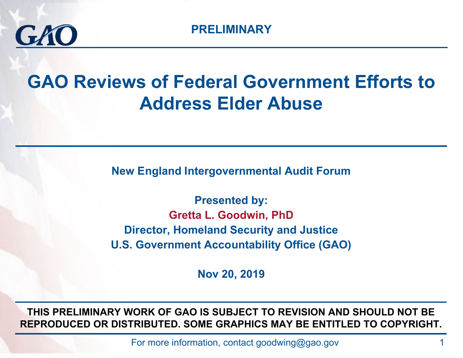

### **GAO Reviews of Federal Government Efforts to Address Elder Abuse**

**New England Intergovernmental Audit Forum**

**Presented by: Gretta L. Goodwin, PhD Director, Homeland Security and Justice U.S. Government Accountability Office (GAO)**

**Nov 20, 2019**

**THIS PRELIMINARY WORK OF GAO IS SUBJECT TO REVISION AND SHOULD NOT BE REPRODUCED OR DISTRIBUTED. SOME GRAPHICS MAY BE ENTITLED TO COPYRIGHT.** 

For more information, contact goodwing@gao.gov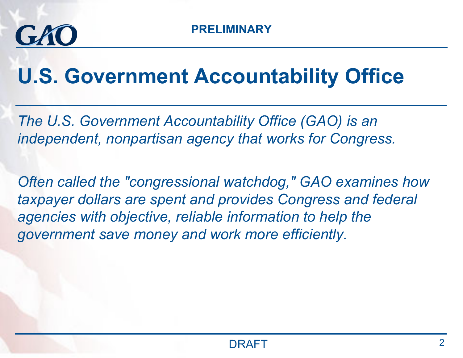

# **U.S. Government Accountability Office**

*The U.S. Government Accountability Office (GAO) is an independent, nonpartisan agency that works for Congress.* 

*Often called the "congressional watchdog," GAO examines how taxpayer dollars are spent and provides Congress and federal agencies with objective, reliable information to help the government save money and work more efficiently.*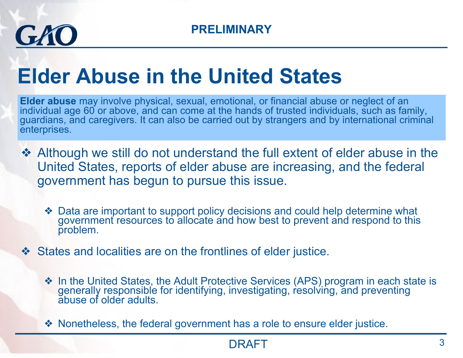

# **Elder Abuse in the United States**

**Elder abuse** may involve physical, sexual, emotional, or financial abuse or neglect of an individual age 60 or above, and can come at the hands of trusted individuals, such as family, guardians, and caregivers. It can also be carried out by strangers and by international criminal enterprises.

- ❖ Although we still do not understand the full extent of elder abuse in the United States, reports of elder abuse are increasing, and the federal government has begun to pursue this issue.
	- ◆ Data are important to support policy decisions and could help determine what government resources to allocate and how best to prevent and respond to this problem.
- ❖ States and localities are on the frontlines of elder justice.
	- ❖ In the United States, the Adult Protective Services (APS) program in each state is generally responsible for identifying, investigating, resolving, and preventing abuse of older adults.

❖ Nonetheless, the federal government has a role to ensure elder justice.

#### DRAFT $\overline{\mathsf{T}}$  and  $\overline{\mathsf{S}}$  and  $\overline{\mathsf{S}}$  and  $\overline{\mathsf{S}}$  and  $\overline{\mathsf{S}}$  and  $\overline{\mathsf{S}}$  and  $\overline{\mathsf{S}}$  and  $\overline{\mathsf{S}}$  and  $\overline{\mathsf{S}}$  and  $\overline{\mathsf{S}}$  and  $\overline{\mathsf{S}}$  and  $\overline{\mathsf{S}}$  and  $\overline{\mathsf{S}}$  and  $\overline{\mathsf{S}}$  an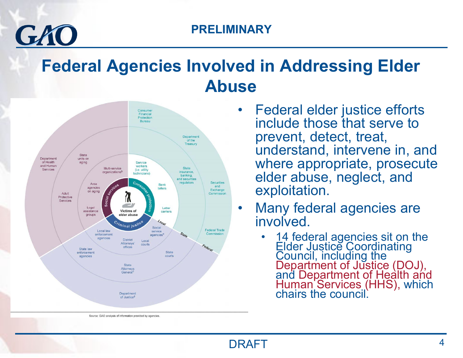### **Federal Agencies Involved in Addressing Elder Abuse**



 $GLM$ 

- • Federal elder justice efforts include those that serve to prevent, detect, treat, understand, intervene in, and where appropriate, prosecute elder abuse, neglect, and exploitation.
- • Many federal agencies are involved.
	- •14 federal agencies sit on the<br>Elder Justice Coordinating<br>Council, including the<br>Department of Justice (DOJ),<br>and Department of Health and<br>Human Services (HHS), which<br>chairs the council.

Source: GAO analysis of information provided by agencies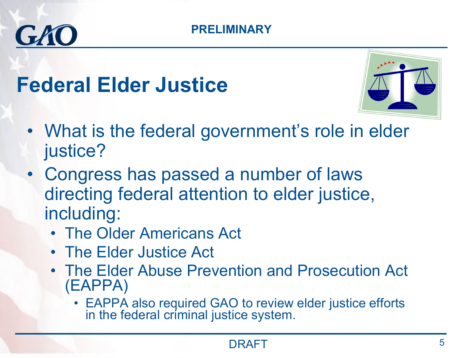## **Federal Elder Justice**

GAO



- What is the federal government's role in elder justice?
- Congress has passed a number of laws directing federal attention to elder justice, including:
	- The Older Americans Act
	- The Elder Justice Act
	- The Elder Abuse Prevention and Prosecution Act (EAPPA)
		- EAPPA also required GAO to review elder justice efforts in the federal criminal justice system.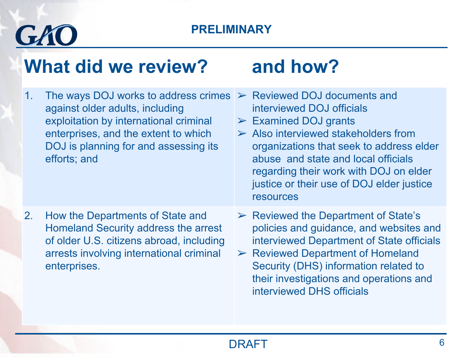

### **What did we review? and how?**

1. The ways DOJ works to address crimes ➢ Reviewed DOJ documents and against older adults, including exploitation by international criminal enterprises, and the extent to which DOJ is planning for and assessing its efforts; and interviewed DOJ officials $\triangleright$  Examined DOJ grants  $\triangleright$  Also interviewed stakeholders from organizations that seek to address elder abuse and state and local officials regarding their work with DOJ on elder justice or their use of DOJ elder justice resources 2. How the Departments of State and Homeland Security address the arrest of older U.S. citizens abroad, including arrests involving international criminal enterprises.  $\triangleright$  Reviewed the Department of State's policies and guidance, and websites and interviewed Department of State officials  $\triangleright$  Reviewed Department of Homeland Security (DHS) information related to their investigations and operations and interviewed DHS officials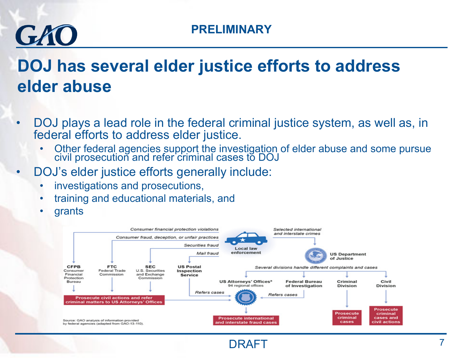# GAO

### **DOJ has several elder justice efforts to address elder abuse**

- • DOJ plays a lead role in the federal criminal justice system, as well as, in federal efforts to address elder justice.
	- •Other federal agencies support the investigation of elder abuse and some pursue civil prosecution and refer criminal cases to DOJ
- • DOJ's elder justice efforts generally include:
	- •investigations and prosecutions,
	- •training and educational materials, and
	- •grants

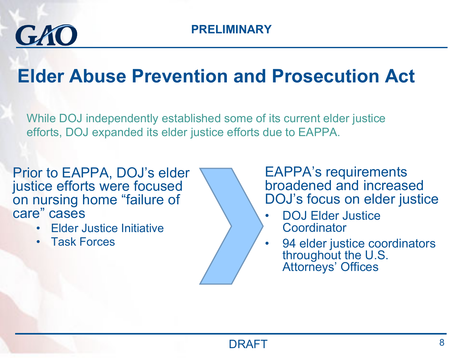

### **Elder Abuse Prevention and Prosecution Act**

While DOJ independently established some of its current elder justice efforts, DOJ expanded its elder justice efforts due to EAPPA.

Prior to EAPPA, DOJ's elder justice efforts were focused on nursing home "failure of care" cases

- Elder Justice Initiative
- Task Forces

EAPPA's requirements broadened and increased DOJ's focus on elder justice

- • DOJ Elder Justice **Coordinator**
- • 94 elder justice coordinators throughout the U.S. Attorneys' Offices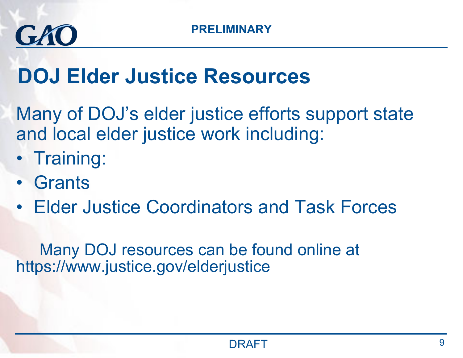

## **DOJ Elder Justice Resources**

Many of DOJ's elder justice efforts support state and local elder justice work including:

- Training:
- Grants
- Elder Justice Coordinators and Task Forces

Many DOJ resources can be found online at https://www.justice.gov/elderjustice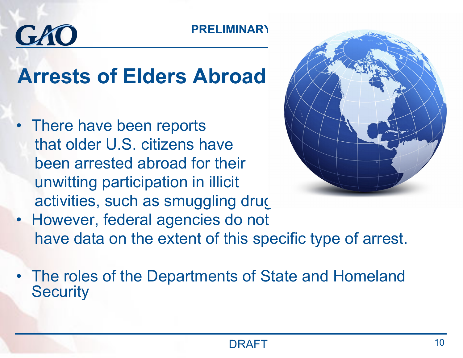# GKO

## **Arrests of Elders Abroad**

• There have been reports that older U.S. citizens have been arrested abroad for their unwitting participation in illicit activities, such as smuggling drugs



- However, federal agencies do not have data on the extent of this specific type of arrest.
- The roles of the Departments of State and Homeland **Security**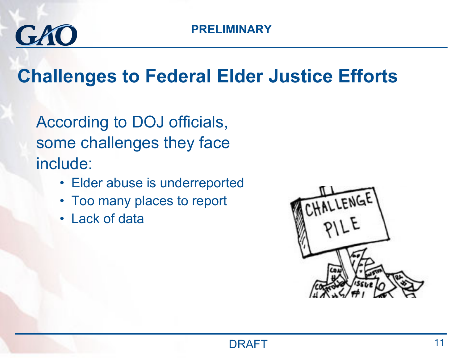

### **Challenges to Federal Elder Justice Efforts**

According to DOJ officials, some challenges they face include:

- Elder abuse is underreported
- Too many places to report
- Lack of data

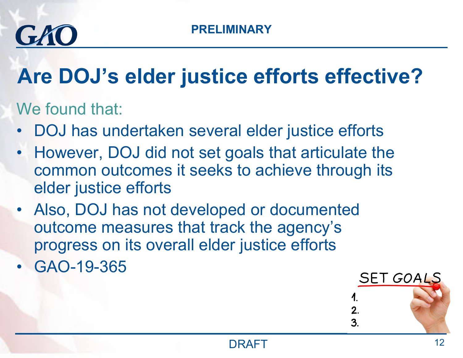

# **Are DOJ's elder justice efforts effective?**

We found that:

- •DOJ has undertaken several elder justice efforts
- • However, DOJ did not set goals that articulate the common outcomes it seeks to achieve through its elder justice efforts
- Also, DOJ has not developed or documented outcome measures that track the agency's progress on its overall elder justice efforts
- GAO-19-365

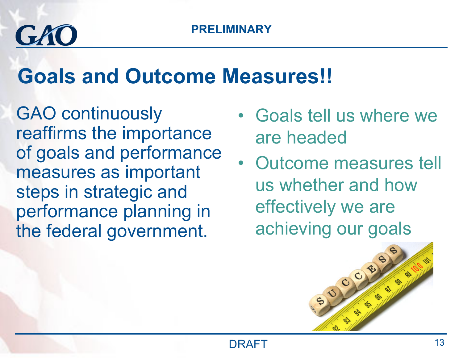# GAO

## **Goals and Outcome Measures!!**

GAO continuously reaffirms the importance of goals and performance measures as important steps in strategic and performance planning in the federal government.

- Goals tell us where we are headed
- Outcome measures tell us whether and how effectively we are achieving our goals

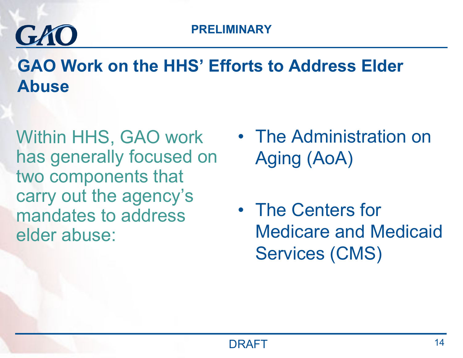

**GAO Work on the HHS' Efforts to Address Elder Abuse**

Within HHS, GAO work has generally focused on two components that carry out the agency's mandates to address elder abuse:

- The Administration on Aging (AoA)
- The Centers for Medicare and Medicaid Services (CMS)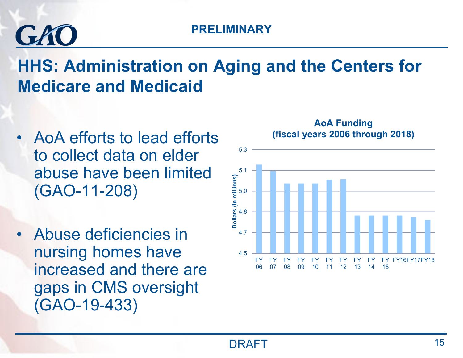# GAC

### **HHS: Administration on Aging and the Centers for Medicare and Medicaid**

- • AoA efforts to lead efforts to collect data on elder abuse have been limited (GAO-11-208)
- • Abuse deficiencies in nursing homes have increased and there are gaps in CMS oversight (GAO-19-433)

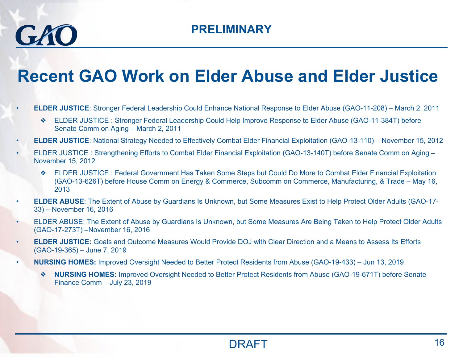$GLM$ 

#### **Recent GAO Work on Elder Abuse and Elder Justice**

- • **ELDER JUSTICE**: Stronger Federal Leadership Could Enhance National Response to Elder Abuse (GAO-11-208) – March 2, 2011
	- ❖ ELDER JUSTICE : Stronger Federal Leadership Could Help Improve Response to Elder Abuse (GAO-11-384T) before Senate Comm on Aging – March 2, 2011
- •**ELDER JUSTICE**: National Strategy Needed to Effectively Combat Elder Financial Exploitation (GAO-13-110) – November 15, 2012
- • ELDER JUSTICE : Strengthening Efforts to Combat Elder Financial Exploitation (GAO-13-140T) before Senate Comm on Aging – November 15, 2012
	- ❖ ELDER JUSTICE : Federal Government Has Taken Some Steps but Could Do More to Combat Elder Financial Exploitation (GAO-13-626T) before House Comm on Energy & Commerce, Subcomm on Commerce, Manufacturing, & Trade – May 16, 2013
- • **ELDER ABUSE**: The Extent of Abuse by Guardians Is Unknown, but Some Measures Exist to Help Protect Older Adults (GAO-17- 33) – November 16, 2016
- • ELDER ABUSE: The Extent of Abuse by Guardians Is Unknown, but Some Measures Are Being Taken to Help Protect Older Adults (GAO-17-273T) –November 16, 2016
- • **ELDER JUSTICE:** Goals and Outcome Measures Would Provide DOJ with Clear Direction and a Means to Assess Its Efforts (GAO-19-365) – June 7, 2019
- • **NURSING HOMES:** Improved Oversight Needed to Better Protect Residents from Abuse (GAO-19-433) – Jun 13, 2019
	- ❖ **NURSING HOMES:** Improved Oversight Needed to Better Protect Residents from Abuse (GAO-19-671T) before Senate Finance Comm – July 23, 2019